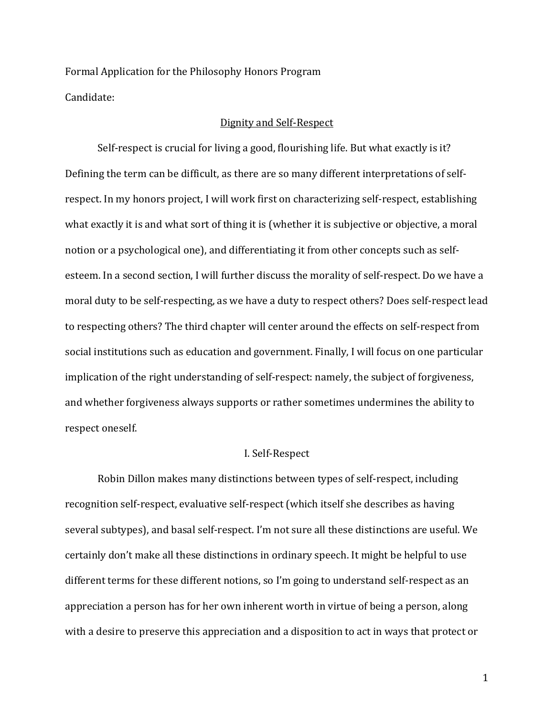Formal Application for the Philosophy Honors Program Candidate:

#### Dignity and Self-Respect

Self-respect is crucial for living a good, flourishing life. But what exactly is it? Defining the term can be difficult, as there are so many different interpretations of selfrespect. In my honors project, I will work first on characterizing self-respect, establishing what exactly it is and what sort of thing it is (whether it is subjective or objective, a moral notion or a psychological one), and differentiating it from other concepts such as selfesteem. In a second section, I will further discuss the morality of self-respect. Do we have a moral duty to be self-respecting, as we have a duty to respect others? Does self-respect lead to respecting others? The third chapter will center around the effects on self-respect from social institutions such as education and government. Finally, I will focus on one particular implication of the right understanding of self-respect: namely, the subject of forgiveness, and whether forgiveness always supports or rather sometimes undermines the ability to respect oneself.

# I. Self-Respect

Robin Dillon makes many distinctions between types of self-respect, including recognition self-respect, evaluative self-respect (which itself she describes as having several subtypes), and basal self-respect. I'm not sure all these distinctions are useful. We certainly don't make all these distinctions in ordinary speech. It might be helpful to use different terms for these different notions, so I'm going to understand self-respect as an appreciation a person has for her own inherent worth in virtue of being a person, along with a desire to preserve this appreciation and a disposition to act in ways that protect or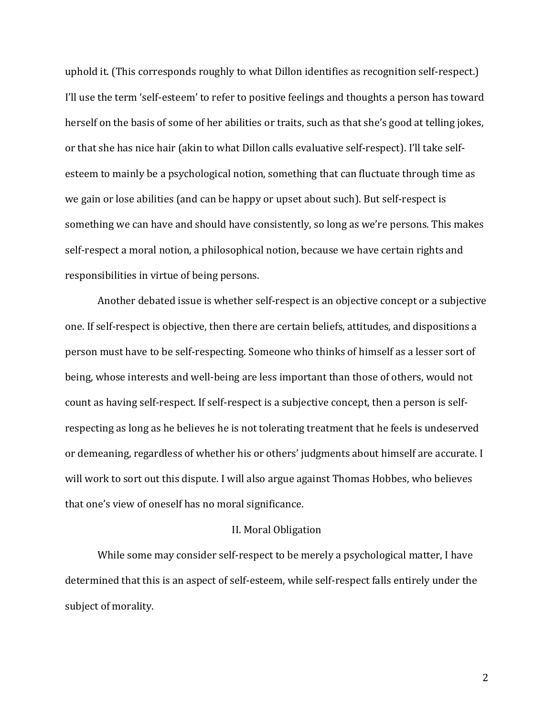uphold it. (This corresponds roughly to what Dillon identifies as recognition self-respect.) I'll use the term 'self-esteem' to refer to positive feelings and thoughts a person has toward herself on the basis of some of her abilities or traits, such as that she's good at telling jokes, or that she has nice hair (akin to what Dillon calls evaluative self-respect). I'll take selfesteem to mainly be a psychological notion, something that can fluctuate through time as we gain or lose abilities (and can be happy or upset about such). But self-respect is something we can have and should have consistently, so long as we're persons. This makes self-respect a moral notion, a philosophical notion, because we have certain rights and responsibilities in virtue of being persons.

Another debated issue is whether self-respect is an objective concept or a subjective one. If self-respect is objective, then there are certain beliefs, attitudes, and dispositions a person must have to be self-respecting. Someone who thinks of himself as a lesser sort of being, whose interests and well-being are less important than those of others, would not count as having self-respect. If self-respect is a subjective concept, then a person is selfrespecting as long as he believes he is not tolerating treatment that he feels is undeserved or demeaning, regardless of whether his or others' judgments about himself are accurate. I will work to sort out this dispute. I will also argue against Thomas Hobbes, who believes that one's view of oneself has no moral significance.

# II. Moral Obligation

While some may consider self-respect to be merely a psychological matter, I have determined that this is an aspect of self-esteem, while self-respect falls entirely under the subject of morality.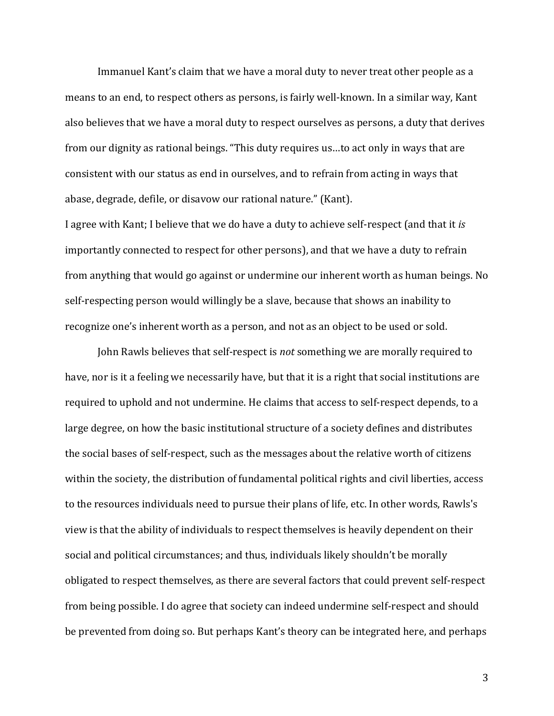Immanuel Kant's claim that we have a moral duty to never treat other people as a means to an end, to respect others as persons, is fairly well-known. In a similar way, Kant also believes that we have a moral duty to respect ourselves as persons, a duty that derives from our dignity as rational beings. "This duty requires us…to act only in ways that are consistent with our status as end in ourselves, and to refrain from acting in ways that abase, degrade, defile, or disavow our rational nature." (Kant).

I agree with Kant; I believe that we do have a duty to achieve self-respect (and that it *is* importantly connected to respect for other persons), and that we have a duty to refrain from anything that would go against or undermine our inherent worth as human beings. No self-respecting person would willingly be a slave, because that shows an inability to recognize one's inherent worth as a person, and not as an object to be used or sold.

John Rawls believes that self-respect is *not* something we are morally required to have, nor is it a feeling we necessarily have, but that it is a right that social institutions are required to uphold and not undermine. He claims that access to self-respect depends, to a large degree, on how the basic institutional structure of a society defines and distributes the social bases of self-respect, such as the messages about the relative worth of citizens within the society, the distribution of fundamental political rights and civil liberties, access to the resources individuals need to pursue their plans of life, etc. In other words, Rawls's view is that the ability of individuals to respect themselves is heavily dependent on their social and political circumstances; and thus, individuals likely shouldn't be morally obligated to respect themselves, as there are several factors that could prevent self-respect from being possible. I do agree that society can indeed undermine self-respect and should be prevented from doing so. But perhaps Kant's theory can be integrated here, and perhaps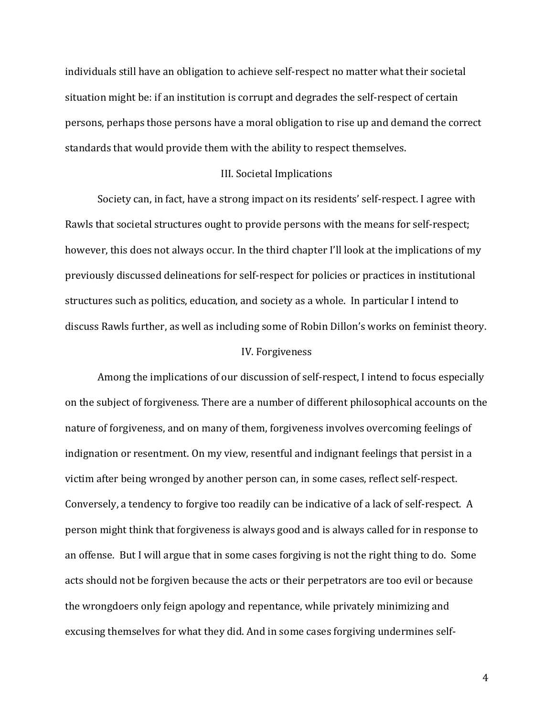individuals still have an obligation to achieve self-respect no matter what their societal situation might be: if an institution is corrupt and degrades the self-respect of certain persons, perhaps those persons have a moral obligation to rise up and demand the correct standards that would provide them with the ability to respect themselves.

# III. Societal Implications

Society can, in fact, have a strong impact on its residents' self-respect. I agree with Rawls that societal structures ought to provide persons with the means for self-respect; however, this does not always occur. In the third chapter I'll look at the implications of my previously discussed delineations for self-respect for policies or practices in institutional structures such as politics, education, and society as a whole. In particular I intend to discuss Rawls further, as well as including some of Robin Dillon's works on feminist theory.

### IV. Forgiveness

Among the implications of our discussion of self-respect, I intend to focus especially on the subject of forgiveness. There are a number of different philosophical accounts on the nature of forgiveness, and on many of them, forgiveness involves overcoming feelings of indignation or resentment. On my view, resentful and indignant feelings that persist in a victim after being wronged by another person can, in some cases, reflect self-respect. Conversely, a tendency to forgive too readily can be indicative of a lack of self-respect. A person might think that forgiveness is always good and is always called for in response to an offense. But I will argue that in some cases forgiving is not the right thing to do. Some acts should not be forgiven because the acts or their perpetrators are too evil or because the wrongdoers only feign apology and repentance, while privately minimizing and excusing themselves for what they did. And in some cases forgiving undermines self-